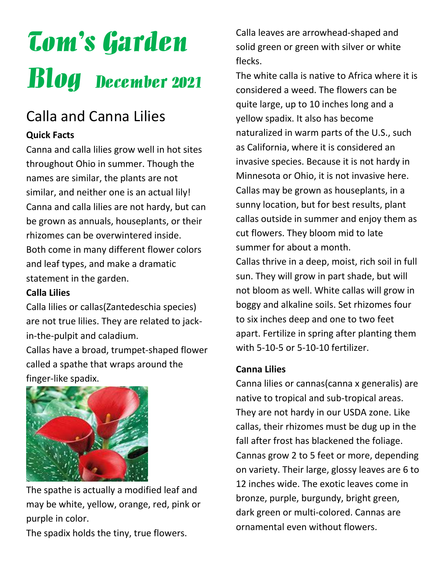# Tom's Garden Blog December 2021

## Calla and Canna Lilies

#### **Quick Facts**

Canna and calla lilies grow well in hot sites throughout Ohio in summer. Though the names are similar, the plants are not similar, and neither one is an actual lily! Canna and calla lilies are not hardy, but can be grown as annuals, houseplants, or their rhizomes can be overwintered inside. Both come in many different flower colors and leaf types, and make a dramatic statement in the garden.

#### **Calla Lilies**

Calla lilies or callas(Zantedeschia species) are not true lilies. They are related to jackin-the-pulpit and caladium.

Callas have a broad, trumpet-shaped flower called a spathe that wraps around the finger-like spadix.



The spathe is actually a modified leaf and may be white, yellow, orange, red, pink or purple in color.

The spadix holds the tiny, true flowers.

Calla leaves are arrowhead-shaped and solid green or green with silver or white flecks.

The white calla is native to Africa where it is considered a weed. The flowers can be quite large, up to 10 inches long and a yellow spadix. It also has become naturalized in warm parts of the U.S., such as California, where it is considered an invasive species. Because it is not hardy in Minnesota or Ohio, it is not invasive here. Callas may be grown as houseplants, in a sunny location, but for best results, plant callas outside in summer and enjoy them as cut flowers. They bloom mid to late summer for about a month.

Callas thrive in a deep, moist, rich soil in full sun. They will grow in part shade, but will not bloom as well. White callas will grow in boggy and alkaline soils. Set rhizomes four to six inches deep and one to two feet apart. Fertilize in spring after planting them with 5-10-5 or 5-10-10 fertilizer.

#### **Canna Lilies**

Canna lilies or cannas(canna x generalis) are native to tropical and sub-tropical areas. They are not hardy in our USDA zone. Like callas, their rhizomes must be dug up in the fall after frost has blackened the foliage. Cannas grow 2 to 5 feet or more, depending on variety. Their large, glossy leaves are 6 to 12 inches wide. The exotic leaves come in bronze, purple, burgundy, bright green, dark green or multi-colored. Cannas are ornamental even without flowers.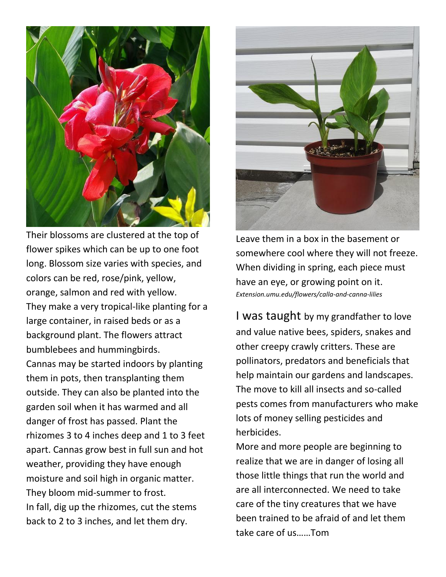

Their blossoms are clustered at the top of flower spikes which can be up to one foot long. Blossom size varies with species, and colors can be red, rose/pink, yellow, orange, salmon and red with yellow. They make a very tropical-like planting for a large container, in raised beds or as a background plant. The flowers attract bumblebees and hummingbirds. Cannas may be started indoors by planting them in pots, then transplanting them outside. They can also be planted into the garden soil when it has warmed and all danger of frost has passed. Plant the rhizomes 3 to 4 inches deep and 1 to 3 feet apart. Cannas grow best in full sun and hot weather, providing they have enough moisture and soil high in organic matter. They bloom mid-summer to frost. In fall, dig up the rhizomes, cut the stems back to 2 to 3 inches, and let them dry.



Leave them in a box in the basement or somewhere cool where they will not freeze. When dividing in spring, each piece must have an eye, or growing point on it. *Extension.umu.edu/flowers/calla-and-canna-lilies*

I was taught by my grandfather to love and value native bees, spiders, snakes and other creepy crawly critters. These are pollinators, predators and beneficials that help maintain our gardens and landscapes. The move to kill all insects and so-called pests comes from manufacturers who make lots of money selling pesticides and herbicides.

More and more people are beginning to realize that we are in danger of losing all those little things that run the world and are all interconnected. We need to take care of the tiny creatures that we have been trained to be afraid of and let them take care of us……Tom